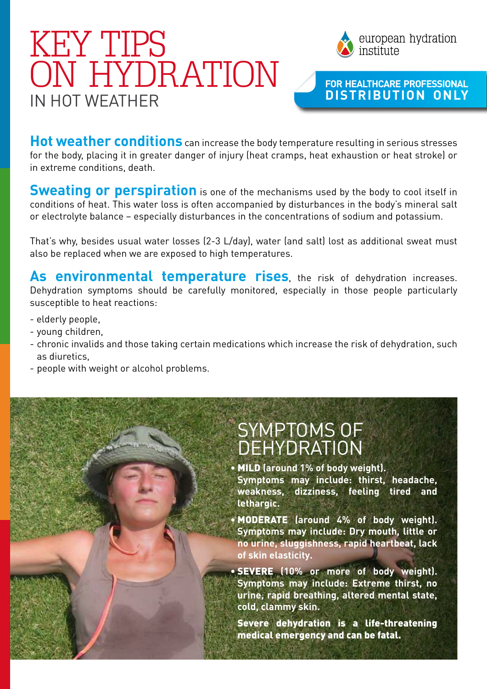## IN HOT WEATHER KEY TIPS ON HYDRATION



#### **For HeaLthcare Professional distr ibut ion only**

**Hot weather conditions** can increase the body temperature resulting in serious stresses for the body, placing it in greater danger of injury (heat cramps, heat exhaustion or heat stroke) or in extreme conditions, death.

**Sweating or perspiration** is one of the mechanisms used by the body to cool itself in conditions of heat. This water loss is often accompanied by disturbances in the body's mineral salt or electrolyte balance – especially disturbances in the concentrations of sodium and potassium.

That's why, besides usual water losses (2-3 L/day), water (and salt) lost as additional sweat must also be replaced when we are exposed to high temperatures.

**As environmental temperature rises**, the risk of dehydration increases. Dehydration symptoms should be carefully monitored, especially in those people particularly susceptible to heat reactions:

- elderly people,
- young children,
- chronic invalids and those taking certain medications which increase the risk of dehydration, such as diuretics,
- people with weight or alcohol problems.

### Symptoms of dehydration

**•** MILD **(around 1% of body weight). Symptoms may include: thirst, headache, weakness, dizziness, feeling tired and lethargic.**

**•** MODERATE **(around 4% of body weight). Symptoms may include: Dry mouth, little or no urine, sluggishness, rapid heartbeat, lack of skin elasticity.**

**•** SEVERE **(10% or more of body weight). Symptoms may include: Extreme thirst, no urine, rapid breathing, altered mental state, cold, clammy skin.**

 Severe dehydration is a life-threatening medical emergency and can be fatal.